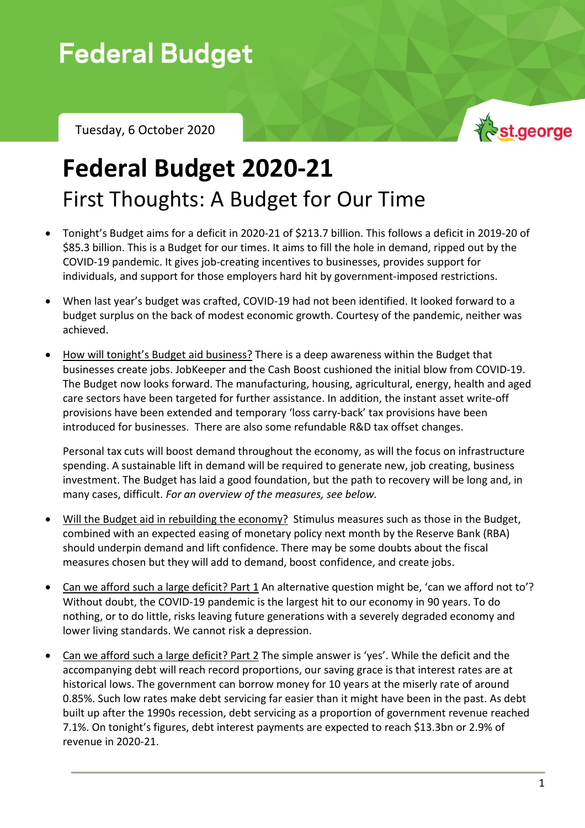# **Federal Budget**

Tuesday, 6 October 2020



## **Federal Budget 2020-21** First Thoughts: A Budget for Our Time

- Tonight's Budget aims for a deficit in 2020-21 of \$213.7 billion. This follows a deficit in 2019-20 of \$85.3 billion. This is a Budget for our times. It aims to fill the hole in demand, ripped out by the COVID-19 pandemic. It gives job-creating incentives to businesses, provides support for individuals, and support for those employers hard hit by government-imposed restrictions.
- When last year's budget was crafted, COVID-19 had not been identified. It looked forward to a budget surplus on the back of modest economic growth. Courtesy of the pandemic, neither was achieved.
- How will tonight's Budget aid business? There is a deep awareness within the Budget that businesses create jobs. JobKeeper and the Cash Boost cushioned the initial blow from COVID-19. The Budget now looks forward. The manufacturing, housing, agricultural, energy, health and aged care sectors have been targeted for further assistance. In addition, the instant asset write-off provisions have been extended and temporary 'loss carry-back' tax provisions have been introduced for businesses. There are also some refundable R&D tax offset changes.

Personal tax cuts will boost demand throughout the economy, as will the focus on infrastructure spending. A sustainable lift in demand will be required to generate new, job creating, business investment. The Budget has laid a good foundation, but the path to recovery will be long and, in many cases, difficult. *For an overview of the measures, see below.*

- Will the Budget aid in rebuilding the economy? Stimulus measures such as those in the Budget, combined with an expected easing of monetary policy next month by the Reserve Bank (RBA) should underpin demand and lift confidence. There may be some doubts about the fiscal measures chosen but they will add to demand, boost confidence, and create jobs.
- Can we afford such a large deficit? Part 1 An alternative question might be, 'can we afford not to'? Without doubt, the COVID-19 pandemic is the largest hit to our economy in 90 years. To do nothing, or to do little, risks leaving future generations with a severely degraded economy and lower living standards. We cannot risk a depression.
- Can we afford such a large deficit? Part 2 The simple answer is 'yes'. While the deficit and the accompanying debt will reach record proportions, our saving grace is that interest rates are at historical lows. The government can borrow money for 10 years at the miserly rate of around 0.85%. Such low rates make debt servicing far easier than it might have been in the past. As debt built up after the 1990s recession, debt servicing as a proportion of government revenue reached 7.1%. On tonight's figures, debt interest payments are expected to reach \$13.3bn or 2.9% of revenue in 2020-21.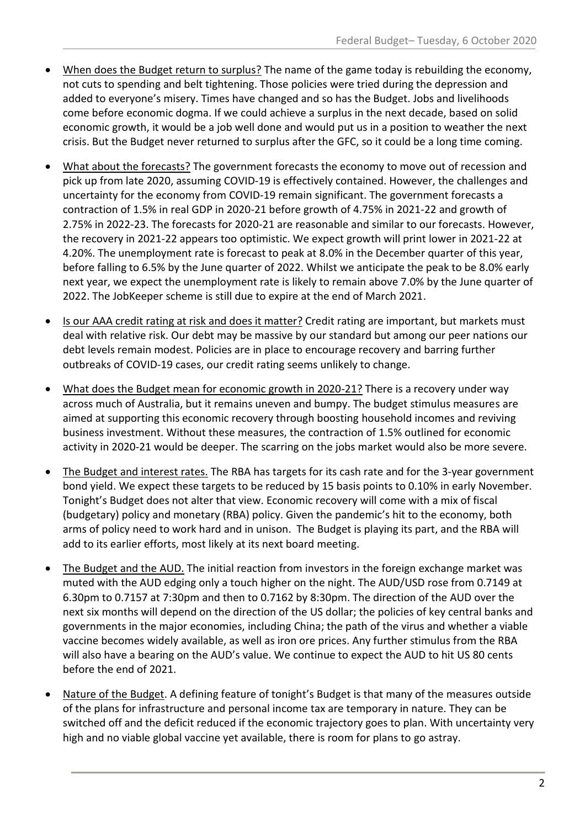- When does the Budget return to surplus? The name of the game today is rebuilding the economy, not cuts to spending and belt tightening. Those policies were tried during the depression and added to everyone's misery. Times have changed and so has the Budget. Jobs and livelihoods come before economic dogma. If we could achieve a surplus in the next decade, based on solid economic growth, it would be a job well done and would put us in a position to weather the next crisis. But the Budget never returned to surplus after the GFC, so it could be a long time coming.
- What about the forecasts? The government forecasts the economy to move out of recession and pick up from late 2020, assuming COVID-19 is effectively contained. However, the challenges and uncertainty for the economy from COVID-19 remain significant. The government forecasts a contraction of 1.5% in real GDP in 2020-21 before growth of 4.75% in 2021-22 and growth of 2.75% in 2022-23. The forecasts for 2020-21 are reasonable and similar to our forecasts. However, the recovery in 2021-22 appears too optimistic. We expect growth will print lower in 2021-22 at 4.20%. The unemployment rate is forecast to peak at 8.0% in the December quarter of this year, before falling to 6.5% by the June quarter of 2022. Whilst we anticipate the peak to be 8.0% early next year, we expect the unemployment rate is likely to remain above 7.0% by the June quarter of 2022. The JobKeeper scheme is still due to expire at the end of March 2021.
- Is our AAA credit rating at risk and does it matter? Credit rating are important, but markets must deal with relative risk. Our debt may be massive by our standard but among our peer nations our debt levels remain modest. Policies are in place to encourage recovery and barring further outbreaks of COVID-19 cases, our credit rating seems unlikely to change.
- What does the Budget mean for economic growth in 2020-21? There is a recovery under way across much of Australia, but it remains uneven and bumpy. The budget stimulus measures are aimed at supporting this economic recovery through boosting household incomes and reviving business investment. Without these measures, the contraction of 1.5% outlined for economic activity in 2020-21 would be deeper. The scarring on the jobs market would also be more severe.
- The Budget and interest rates. The RBA has targets for its cash rate and for the 3-year government bond yield. We expect these targets to be reduced by 15 basis points to 0.10% in early November. Tonight's Budget does not alter that view. Economic recovery will come with a mix of fiscal (budgetary) policy and monetary (RBA) policy. Given the pandemic's hit to the economy, both arms of policy need to work hard and in unison. The Budget is playing its part, and the RBA will add to its earlier efforts, most likely at its next board meeting.
- The Budget and the AUD. The initial reaction from investors in the foreign exchange market was muted with the AUD edging only a touch higher on the night. The AUD/USD rose from 0.7149 at 6.30pm to 0.7157 at 7:30pm and then to 0.7162 by 8:30pm. The direction of the AUD over the next six months will depend on the direction of the US dollar; the policies of key central banks and governments in the major economies, including China; the path of the virus and whether a viable vaccine becomes widely available, as well as iron ore prices. Any further stimulus from the RBA will also have a bearing on the AUD's value. We continue to expect the AUD to hit US 80 cents before the end of 2021.
- Nature of the Budget. A defining feature of tonight's Budget is that many of the measures outside of the plans for infrastructure and personal income tax are temporary in nature. They can be switched off and the deficit reduced if the economic trajectory goes to plan. With uncertainty very high and no viable global vaccine yet available, there is room for plans to go astray.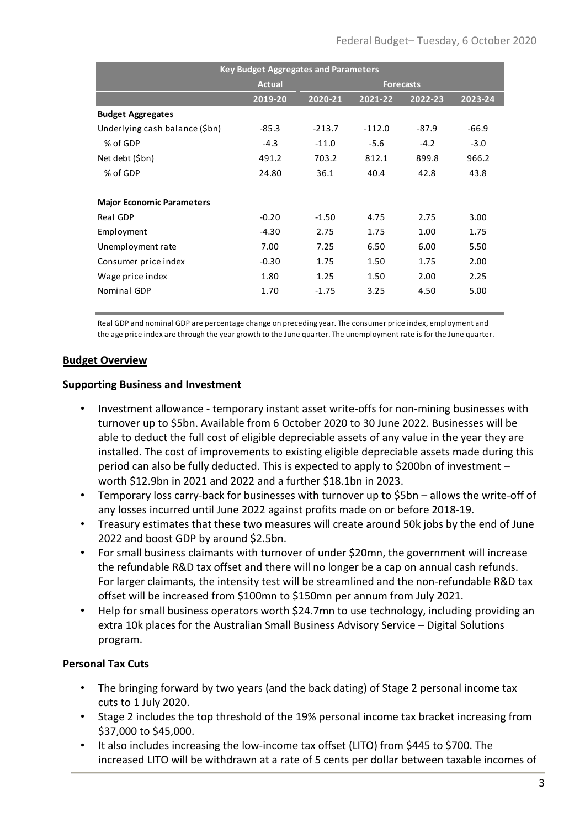| <b>Key Budget Aggregates and Parameters</b> |               |                  |          |         |         |  |  |  |
|---------------------------------------------|---------------|------------------|----------|---------|---------|--|--|--|
|                                             | <b>Actual</b> | <b>Forecasts</b> |          |         |         |  |  |  |
|                                             |               |                  |          |         |         |  |  |  |
|                                             | 2019-20       | 2020-21          | 2021-22  | 2022-23 | 2023-24 |  |  |  |
| <b>Budget Aggregates</b>                    |               |                  |          |         |         |  |  |  |
| Underlying cash balance (\$bn)              | $-85.3$       | $-213.7$         | $-112.0$ | $-87.9$ | $-66.9$ |  |  |  |
| % of GDP                                    | $-4.3$        | $-11.0$          | $-5.6$   | $-4.2$  | $-3.0$  |  |  |  |
| Net debt (\$bn)                             | 491.2         | 703.2            | 812.1    | 899.8   | 966.2   |  |  |  |
| % of GDP                                    | 24.80         | 36.1             | 40.4     | 42.8    | 43.8    |  |  |  |
|                                             |               |                  |          |         |         |  |  |  |
| <b>Major Economic Parameters</b>            |               |                  |          |         |         |  |  |  |
| Real GDP                                    | $-0.20$       | $-1.50$          | 4.75     | 2.75    | 3.00    |  |  |  |
| Employment                                  | $-4.30$       | 2.75             | 1.75     | 1.00    | 1.75    |  |  |  |
| Unemployment rate                           | 7.00          | 7.25             | 6.50     | 6.00    | 5.50    |  |  |  |
| Consumer price index                        | $-0.30$       | 1.75             | 1.50     | 1.75    | 2.00    |  |  |  |
| Wage price index                            | 1.80          | 1.25             | 1.50     | 2.00    | 2.25    |  |  |  |
| Nominal GDP                                 | 1.70          | $-1.75$          | 3.25     | 4.50    | 5.00    |  |  |  |
|                                             |               |                  |          |         |         |  |  |  |

Real GDP and nominal GDP are percentage change on preceding year. The consumer price index, employment and the age price index are through the year growth to the June quarter. The unemployment rate is for the June quarter.

#### **Budget Overview**

#### **Supporting Business and Investment**

- Investment allowance temporary instant asset write-offs for non-mining businesses with turnover up to \$5bn. Available from 6 October 2020 to 30 June 2022. Businesses will be able to deduct the full cost of eligible depreciable assets of any value in the year they are installed. The cost of improvements to existing eligible depreciable assets made during this period can also be fully deducted. This is expected to apply to \$200bn of investment – worth \$12.9bn in 2021 and 2022 and a further \$18.1bn in 2023.
- Temporary loss carry-back for businesses with turnover up to \$5bn allows the write-off of any losses incurred until June 2022 against profits made on or before 2018-19.
- Treasury estimates that these two measures will create around 50k jobs by the end of June 2022 and boost GDP by around \$2.5bn.
- For small business claimants with turnover of under \$20mn, the government will increase the refundable R&D tax offset and there will no longer be a cap on annual cash refunds. For larger claimants, the intensity test will be streamlined and the non-refundable R&D tax offset will be increased from \$100mn to \$150mn per annum from July 2021.
- Help for small business operators worth \$24.7mn to use technology, including providing an extra 10k places for the Australian Small Business Advisory Service – Digital Solutions program.

#### **Personal Tax Cuts**

- The bringing forward by two years (and the back dating) of Stage 2 personal income tax cuts to 1 July 2020.
- Stage 2 includes the top threshold of the 19% personal income tax bracket increasing from \$37,000 to \$45,000.
- It also includes increasing the low-income tax offset (LITO) from \$445 to \$700. The increased LITO will be withdrawn at a rate of 5 cents per dollar between taxable incomes of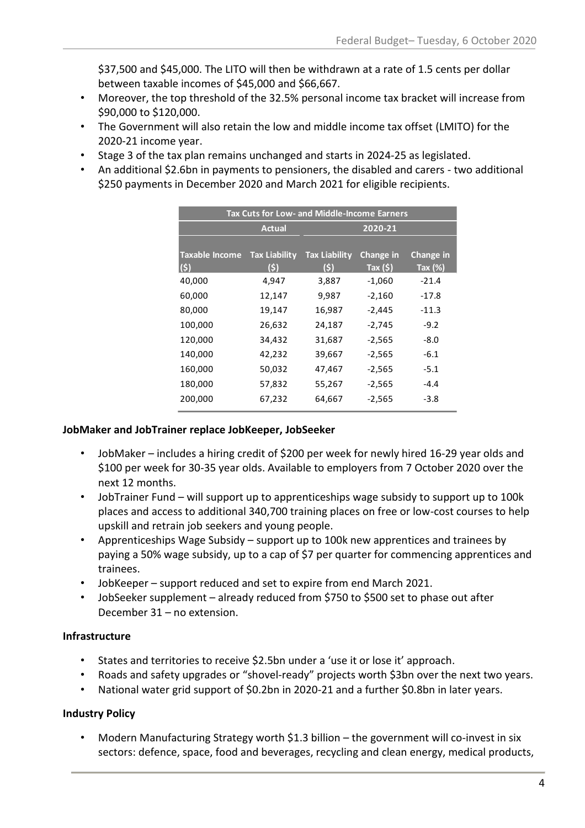\$37,500 and \$45,000. The LITO will then be withdrawn at a rate of 1.5 cents per dollar between taxable incomes of \$45,000 and \$66,667.

- Moreover, the top threshold of the 32.5% personal income tax bracket will increase from \$90,000 to \$120,000.
- The Government will also retain the low and middle income tax offset (LMITO) for the 2020-21 income year.
- Stage 3 of the tax plan remains unchanged and starts in 2024-25 as legislated.
- An additional \$2.6bn in payments to pensioners, the disabled and carers two additional \$250 payments in December 2020 and March 2021 for eligible recipients.

| <b>Tax Cuts for Low- and Middle-Income Earners</b> |                      |                      |                |            |  |  |  |  |
|----------------------------------------------------|----------------------|----------------------|----------------|------------|--|--|--|--|
| <b>Actual</b>                                      |                      | 2020-21              |                |            |  |  |  |  |
|                                                    |                      |                      |                |            |  |  |  |  |
| <b>Taxable Income</b>                              | <b>Tax Liability</b> | <b>Tax Liability</b> | Change in      | Change in  |  |  |  |  |
| (s)                                                | $(\mathsf{S})$       | (S)                  | Tax $($ \$ $)$ | Tax $(\%)$ |  |  |  |  |
| 40,000                                             | 4,947                | 3,887                | $-1,060$       | $-21.4$    |  |  |  |  |
| 60,000                                             | 12,147               | 9,987                | $-2,160$       | $-17.8$    |  |  |  |  |
| 80,000                                             | 19,147               | 16,987               | $-2,445$       | $-11.3$    |  |  |  |  |
| 100,000                                            | 26,632               | 24,187               | -2,745         | $-9.2$     |  |  |  |  |
| 120,000                                            | 34,432               | 31,687               | $-2,565$       | $-8.0$     |  |  |  |  |
| 140,000                                            | 42,232               | 39,667               | $-2,565$       | $-6.1$     |  |  |  |  |
| 160,000                                            | 50,032               | 47,467               | $-2,565$       | $-5.1$     |  |  |  |  |
| 180,000                                            | 57,832               | 55,267               | $-2,565$       | $-4.4$     |  |  |  |  |
| 200,000                                            | 67,232               | 64,667               | $-2,565$       | $-3.8$     |  |  |  |  |

#### **JobMaker and JobTrainer replace JobKeeper, JobSeeker**

- JobMaker includes a hiring credit of \$200 per week for newly hired 16-29 year olds and \$100 per week for 30-35 year olds. Available to employers from 7 October 2020 over the next 12 months.
- JobTrainer Fund will support up to apprenticeships wage subsidy to support up to 100k places and access to additional 340,700 training places on free or low-cost courses to help upskill and retrain job seekers and young people.
- Apprenticeships Wage Subsidy support up to 100k new apprentices and trainees by paying a 50% wage subsidy, up to a cap of \$7 per quarter for commencing apprentices and trainees.
- JobKeeper support reduced and set to expire from end March 2021.
- JobSeeker supplement already reduced from \$750 to \$500 set to phase out after December 31 – no extension.

#### **Infrastructure**

- States and territories to receive \$2.5bn under a 'use it or lose it' approach.
- Roads and safety upgrades or "shovel-ready" projects worth \$3bn over the next two years.
- National water grid support of \$0.2bn in 2020-21 and a further \$0.8bn in later years.

#### **Industry Policy**

• Modern Manufacturing Strategy worth \$1.3 billion – the government will co-invest in six sectors: defence, space, food and beverages, recycling and clean energy, medical products,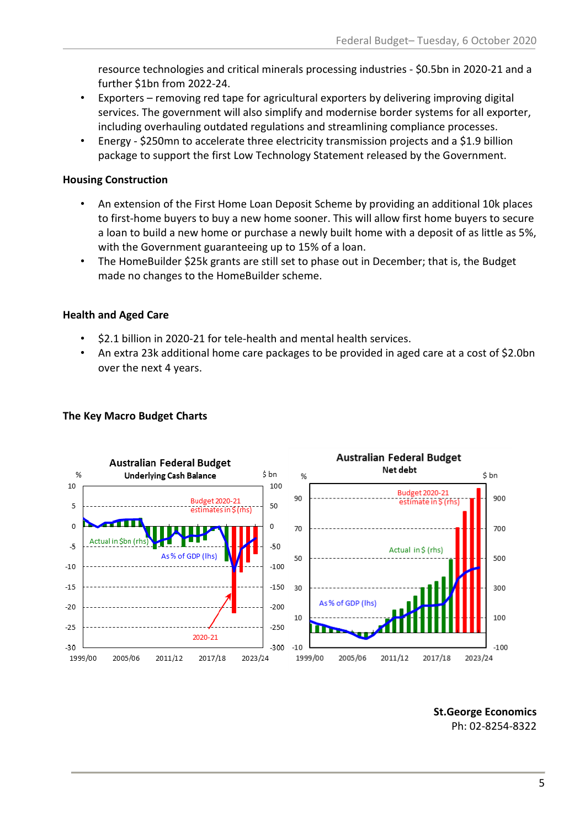resource technologies and critical minerals processing industries - \$0.5bn in 2020-21 and a further \$1bn from 2022-24.

- Exporters removing red tape for agricultural exporters by delivering improving digital services. The government will also simplify and modernise border systems for all exporter, including overhauling outdated regulations and streamlining compliance processes.
- Energy \$250mn to accelerate three electricity transmission projects and a \$1.9 billion package to support the first Low Technology Statement released by the Government.

#### **Housing Construction**

- An extension of the First Home Loan Deposit Scheme by providing an additional 10k places to first-home buyers to buy a new home sooner. This will allow first home buyers to secure a loan to build a new home or purchase a newly built home with a deposit of as little as 5%, with the Government guaranteeing up to 15% of a loan.
- The HomeBuilder \$25k grants are still set to phase out in December; that is, the Budget made no changes to the HomeBuilder scheme.

#### **Health and Aged Care**

- \$2.1 billion in 2020-21 for tele-health and mental health services.
- An extra 23k additional home care packages to be provided in aged care at a cost of \$2.0bn over the next 4 years.



#### **The Key Macro Budget Charts**

**St.George Economics** Ph: 02-8254-8322